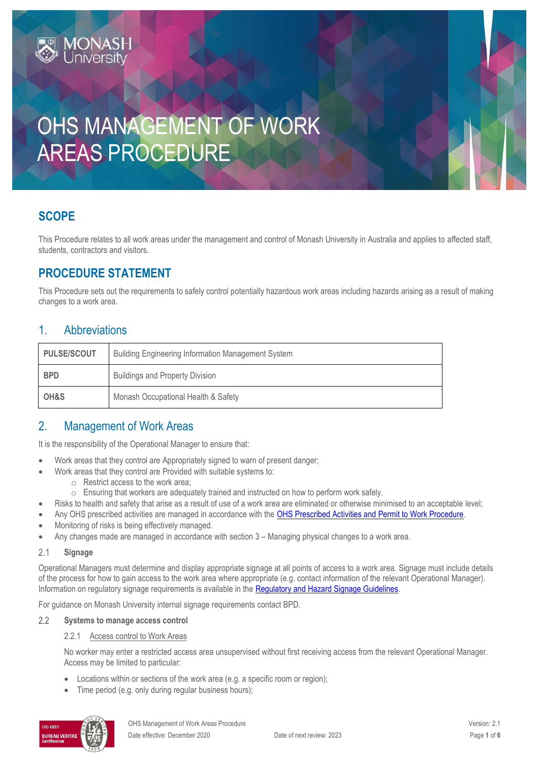# OHS MANAGEMENT OF WORK AREAS PROCEDURE

# **SCOPE**

This Procedure relates to all work areas under the management and control of Monash University in Australia and applies to affected staff, students, contractors and visitors.

# **PROCEDURE STATEMENT**

**MONASH**<br>University

This Procedure sets out the requirements to safely control potentially hazardous work areas including hazards arising as a result of making changes to a work area.

### 1. Abbreviations

| <b>PULSE/SCOUT</b> | <b>Building Engineering Information Management System</b> |  |
|--------------------|-----------------------------------------------------------|--|
| <b>BPD</b>         | <b>Buildings and Property Division</b>                    |  |
| OH&S               | Monash Occupational Health & Safety                       |  |

### 2. Management of Work Areas

It is the responsibility of the Operational Manager to ensure that:

- Work areas that they control are Appropriately signed to warn of present danger;
	- Work areas that they control are Provided with suitable systems to:
		- o Restrict access to the work area;
		- o Ensuring that workers are adequately trained and instructed on how to perform work safely.
- Risks to health and safety that arise as a result of use of a work area are eliminated or otherwise minimised to an acceptable level;
- Any OHS prescribed activities are managed in accordance with the [OHS Prescribed Activities and Permit to Work Procedure.](https://publicpolicydms.monash.edu/Monash/documents/1935634)
- Monitoring of risks is being effectively managed.
- Any changes made are managed in accordance with section 3 Managing physical changes to a work area.

#### $2.1$ **Signage**

Operational Managers must determine and display appropriate signage at all points of access to a work area. Signage must include details of the process for how to gain access to the work area where appropriate (e.g. contact information of the relevant Operational Manager). Information on regulatory signage requirements is available in the [Regulatory and Hazard Signage Guidelines.](https://www.monash.edu/__data/assets/pdf_file/0019/147061/signage.pdf)

For guidance on Monash University internal signage requirements contact BPD.

#### $2.2$ **Systems to manage access control**

### 2.2.1 Access control to Work Areas

No worker may enter a restricted access area unsupervised without first receiving access from the relevant Operational Manager. Access may be limited to particular:

- Locations within or sections of the work area (e.g. a specific room or region);
- Time period (e.g. only during regular business hours);

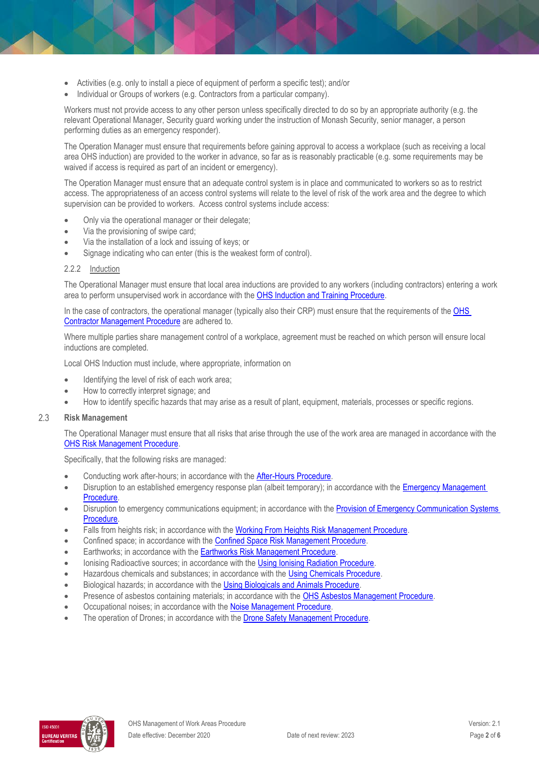- Activities (e.g. only to install a piece of equipment of perform a specific test); and/or
- Individual or Groups of workers (e.g. Contractors from a particular company).

Workers must not provide access to any other person unless specifically directed to do so by an appropriate authority (e.g. the relevant Operational Manager, Security guard working under the instruction of Monash Security, senior manager, a person performing duties as an emergency responder).

The Operation Manager must ensure that requirements before gaining approval to access a workplace (such as receiving a local area OHS induction) are provided to the worker in advance, so far as is reasonably practicable (e.g. some requirements may be waived if access is required as part of an incident or emergency).

The Operation Manager must ensure that an adequate control system is in place and communicated to workers so as to restrict access. The appropriateness of an access control systems will relate to the level of risk of the work area and the degree to which supervision can be provided to workers. Access control systems include access:

- Only via the operational manager or their delegate;
- Via the provisioning of swipe card;
- Via the installation of a lock and issuing of keys; or
- Signage indicating who can enter (this is the weakest form of control).

### 2.2.2 Induction

The Operational Manager must ensure that local area inductions are provided to any workers (including contractors) entering a work area to perform unsupervised work in accordance with the [OHS Induction and Training Procedure.](https://publicpolicydms.monash.edu/Monash/documents/1935627)

In the case of contractors, the operational manager (typically also their CRP) must ensure that the requirements of the OHS [Contractor Management Procedure](https://publicpolicydms.monash.edu/Monash/documents/1935599) are adhered to.

Where multiple parties share management control of a workplace, agreement must be reached on which person will ensure local inductions are completed.

Local OHS Induction must include, where appropriate, information on

- Identifying the level of risk of each work area;
- How to correctly interpret signage; and
- How to identify specific hazards that may arise as a result of plant, equipment, materials, processes or specific regions.

#### $2.3$ **Risk Management**

The Operational Manager must ensure that all risks that arise through the use of the work area are managed in accordance with the [OHS Risk Management Procedure.](https://publicpolicydms.monash.edu/Monash/documents/1935636)

Specifically, that the following risks are managed:

- Conducting work after-hours; in accordance with the **After-Hours Procedure**.
- Disruption to an established emergency response plan (albeit temporary); in accordance with the Emergency Management [Procedure.](https://publicpolicydms.monash.edu/Monash/documents/1935608)
- Disruption to emergency communications equipment; in accordance with the Provision of Emergency Communication Systems [Procedure.](https://publicpolicydms.monash.edu/Monash/documents/1935646)
- Falls from heights risk; in accordance with the [Working From Heights Risk Management Procedure.](https://publicpolicydms.monash.edu/Monash/documents/1935641)
- Confined space; in accordance with the Confined Space Risk [Management Procedure.](https://publicpolicydms.monash.edu/Monash/documents/1935605)
- **Earthworks**; in accordance with the **Earthworks Risk Management Procedure.**
- Ionising Radioactive sources; in accordance with the [Using Ionising Radiation Procedure.](https://publicpolicydms.monash.edu/Monash/documents/1935648)
- Hazardous chemicals and substances; in accordance with th[e Using Chemicals Procedure.](https://publicpolicydms.monash.edu/Monash/documents/1935640)
- **Biological hazards; in accordance with the [Using Biologicals and Animals Procedure.](https://publicpolicydms.monash.edu/Monash/documents/1935647)**
- Presence of asbestos containing materials; in accordance with th[e OHS Asbestos Management Procedure.](https://publicpolicydms.monash.edu/Monash/documents/1935600)
- Occupational noises; in accordance with the [Noise Management Procedure.](https://publicpolicydms.monash.edu/Monash/documents/1935622)
- The operation of Drones; in accordance with the [Drone Safety Management Procedure.](https://publicpolicydms.monash.edu/Monash/documents/1935609)

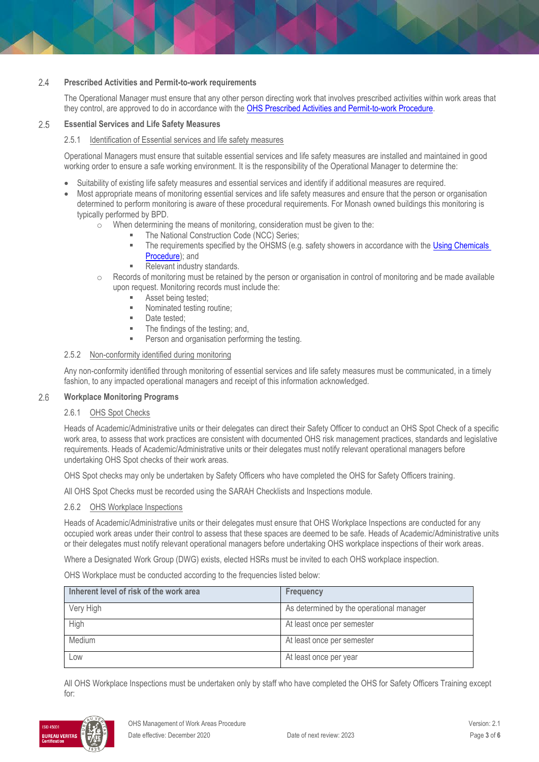### $2.4$ **Prescribed Activities and Permit-to-work requirements**

The Operational Manager must ensure that any other person directing work that involves prescribed activities within work areas that they control, are approved to do in accordance with the [OHS Prescribed Activities and Permit-to-work Procedure.](https://publicpolicydms.monash.edu/Monash/documents/1935634)

#### 2.5 **Essential Services and Life Safety Measures**

### 2.5.1 Identification of Essential services and life safety measures

Operational Managers must ensure that suitable essential services and life safety measures are installed and maintained in good working order to ensure a safe working environment. It is the responsibility of the Operational Manager to determine the:

- Suitability of existing life safety measures and essential services and identify if additional measures are required.
- Most appropriate means of monitoring essential services and life safety measures and ensure that the person or organisation determined to perform monitoring is aware of these procedural requirements. For Monash owned buildings this monitoring is typically performed by BPD.
	- o When determining the means of monitoring, consideration must be given to the:
		- The National Construction Code (NCC) Series;
		- The requirements specified by the OHSMS (e.g. safety showers in accordance with the Using Chemicals [Procedure\)](https://publicpolicydms.monash.edu/Monash/documents/1935640); and
		- Relevant industry standards.
	- $\circ$  Records of monitoring must be retained by the person or organisation in control of monitoring and be made available upon request. Monitoring records must include the:
		- Asset being tested;
		- **Nominated testing routine;**
		- **Date tested:**
		- The findings of the testing; and,
		- Person and organisation performing the testing.

### 2.5.2 Non-conformity identified during monitoring

Any non-conformity identified through monitoring of essential services and life safety measures must be communicated, in a timely fashion, to any impacted operational managers and receipt of this information acknowledged.

#### 2.6 **Workplace Monitoring Programs**

### 2.6.1 OHS Spot Checks

Heads of Academic/Administrative units or their delegates can direct their Safety Officer to conduct an OHS Spot Check of a specific work area, to assess that work practices are consistent with documented OHS risk management practices, standards and legislative requirements. Heads of Academic/Administrative units or their delegates must notify relevant operational managers before undertaking OHS Spot checks of their work areas.

OHS Spot checks may only be undertaken by Safety Officers who have completed the OHS for Safety Officers training.

All OHS Spot Checks must be recorded using the SARAH Checklists and Inspections module.

### 2.6.2 OHS Workplace Inspections

Heads of Academic/Administrative units or their delegates must ensure that OHS Workplace Inspections are conducted for any occupied work areas under their control to assess that these spaces are deemed to be safe. Heads of Academic/Administrative units or their delegates must notify relevant operational managers before undertaking OHS workplace inspections of their work areas.

Where a Designated Work Group (DWG) exists, elected HSRs must be invited to each OHS workplace inspection.

OHS Workplace must be conducted according to the frequencies listed below:

| Inherent level of risk of the work area | <b>Frequency</b>                         |
|-----------------------------------------|------------------------------------------|
| Very High                               | As determined by the operational manager |
| High                                    | At least once per semester               |
| Medium                                  | At least once per semester               |
| Low                                     | At least once per year                   |

All OHS Workplace Inspections must be undertaken only by staff who have completed the OHS for Safety Officers Training except for:

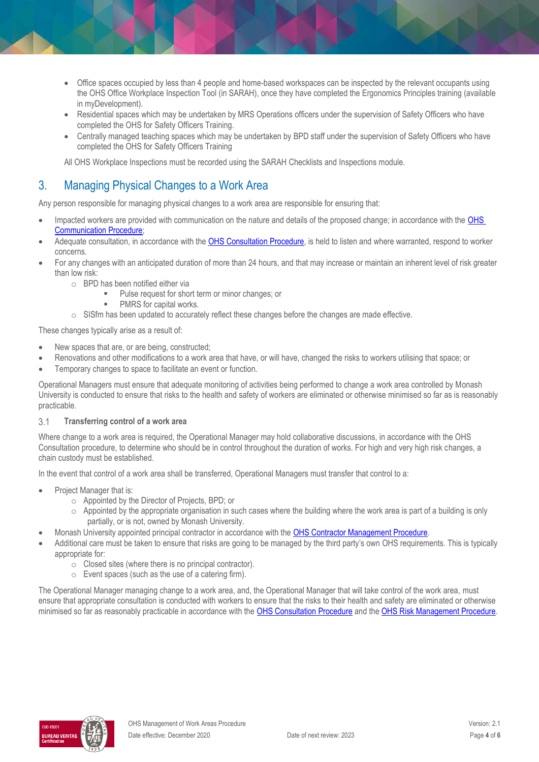- Office spaces occupied by less than 4 people and home-based workspaces can be inspected by the relevant occupants using the OHS Office Workplace Inspection Tool (in SARAH), once they have completed the Ergonomics Principles training (available in myDevelopment).
- Residential spaces which may be undertaken by MRS Operations officers under the supervision of Safety Officers who have completed the OHS for Safety Officers Training.
- Centrally managed teaching spaces which may be undertaken by BPD staff under the supervision of Safety Officers who have completed the OHS for Safety Officers Training

All OHS Workplace Inspections must be recorded using the SARAH Checklists and Inspections module.

## 3. Managing Physical Changes to a Work Area

Any person responsible for managing physical changes to a work area are responsible for ensuring that:

- Impacted workers are provided with communication on the nature and details of the proposed change; in accordance with the OHS [Communication Procedure;](https://publicpolicydms.monash.edu/Monash/documents/1935624)
- Adequate consultation, in accordance with the [OHS Consultation Procedure,](https://publicpolicydms.monash.edu/Monash/documents/1935625) is held to listen and where warranted, respond to worker concerns.
- For any changes with an anticipated duration of more than 24 hours, and that may increase or maintain an inherent level of risk greater than low risk:
	- o BPD has been notified either via
		- **Pulse request for short term or minor changes; or**
		- PMRS for capital works.
	- $\circ$  SISfm has been updated to accurately reflect these changes before the changes are made effective.

These changes typically arise as a result of:

- New spaces that are, or are being, constructed;
- Renovations and other modifications to a work area that have, or will have, changed the risks to workers utilising that space; or
- Temporary changes to space to facilitate an event or function.

Operational Managers must ensure that adequate monitoring of activities being performed to change a work area controlled by Monash University is conducted to ensure that risks to the health and safety of workers are eliminated or otherwise minimised so far as is reasonably practicable.

### $3.1$ **Transferring control of a work area**

Where change to a work area is required, the Operational Manager may hold collaborative discussions, in accordance with the OHS Consultation procedure, to determine who should be in control throughout the duration of works. For high and very high risk changes, a chain custody must be established.

In the event that control of a work area shall be transferred, Operational Managers must transfer that control to a:

- Project Manager that is:
	- o Appointed by the Director of Projects, BPD; or
	- $\circ$  Appointed by the appropriate organisation in such cases where the building where the work area is part of a building is only partially, or is not, owned by Monash University.
- Monash University appointed principal contractor in accordance with the [OHS Contractor Management Procedure.](https://publicpolicydms.monash.edu/Monash/documents/1935599)
- Additional care must be taken to ensure that risks are going to be managed by the third party's own OHS requirements. This is typically appropriate for:
	- o Closed sites (where there is no principal contractor).
	- o Event spaces (such as the use of a catering firm).

The Operational Manager managing change to a work area, and, the Operational Manager that will take control of the work area, must ensure that appropriate consultation is conducted with workers to ensure that the risks to their health and safety are eliminated or otherwise minimised so far as reasonably practicable in accordance with th[e OHS Consultation Procedure](https://publicpolicydms.monash.edu/Monash/documents/1935625) and th[e OHS Risk Management Procedure.](https://publicpolicydms.monash.edu/Monash/documents/1935636)

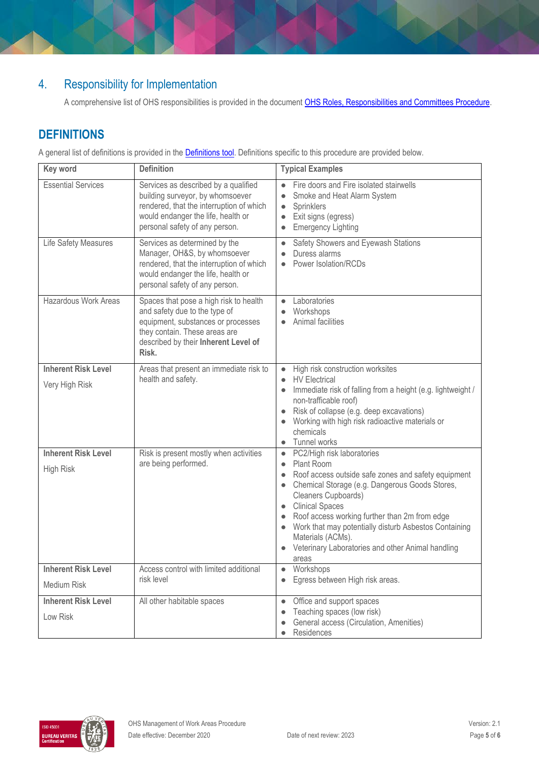# 4. Responsibility for Implementation

A comprehensive list of OHS responsibilities is provided in the document OHS Roles, Responsibilities and Committees Procedure.

# **DEFINITIONS**

A general list of definitions is provided in the **Definitions tool**. Definitions specific to this procedure are provided below.

| Key word                                       | <b>Definition</b>                                                                                                                                                                                                                                                                                                                                                       | <b>Typical Examples</b>                                                                                                                                                                                                                                                                                                                                                                                                                                                       |
|------------------------------------------------|-------------------------------------------------------------------------------------------------------------------------------------------------------------------------------------------------------------------------------------------------------------------------------------------------------------------------------------------------------------------------|-------------------------------------------------------------------------------------------------------------------------------------------------------------------------------------------------------------------------------------------------------------------------------------------------------------------------------------------------------------------------------------------------------------------------------------------------------------------------------|
| <b>Essential Services</b>                      | Services as described by a qualified<br>building surveyor, by whomsoever<br>rendered, that the interruption of which<br>would endanger the life, health or<br>personal safety of any person.                                                                                                                                                                            | Fire doors and Fire isolated stairwells<br>$\bullet$<br>Smoke and Heat Alarm System<br>$\bullet$<br>Sprinklers<br>$\bullet$<br>Exit signs (egress)<br><b>Emergency Lighting</b>                                                                                                                                                                                                                                                                                               |
| Life Safety Measures                           | Services as determined by the<br>Manager, OH&S, by whomsoever<br>rendered, that the interruption of which<br>would endanger the life, health or<br>personal safety of any person.                                                                                                                                                                                       | Safety Showers and Eyewash Stations<br>Duress alarms<br>Power Isolation/RCDs                                                                                                                                                                                                                                                                                                                                                                                                  |
| <b>Hazardous Work Areas</b>                    | Spaces that pose a high risk to health<br>and safety due to the type of<br>equipment, substances or processes<br>they contain. These areas are<br>described by their Inherent Level of<br>Risk.                                                                                                                                                                         | Laboratories<br>$\bullet$<br>Workshops<br>$\bullet$<br>Animal facilities                                                                                                                                                                                                                                                                                                                                                                                                      |
| <b>Inherent Risk Level</b><br>Very High Risk   | High risk construction worksites<br>Areas that present an immediate risk to<br>$\bullet$<br>health and safety.<br><b>HV</b> Electrical<br>Immediate risk of falling from a height (e.g. lightweight /<br>$\bullet$<br>non-trafficable roof)<br>Risk of collapse (e.g. deep excavations)<br>Working with high risk radioactive materials or<br>chemicals<br>Tunnel works |                                                                                                                                                                                                                                                                                                                                                                                                                                                                               |
| <b>Inherent Risk Level</b><br><b>High Risk</b> | Risk is present mostly when activities<br>are being performed.                                                                                                                                                                                                                                                                                                          | PC2/High risk laboratories<br>$\bullet$<br>Plant Room<br>$\bullet$<br>Roof access outside safe zones and safety equipment<br>$\bullet$<br>Chemical Storage (e.g. Dangerous Goods Stores,<br>$\bullet$<br>Cleaners Cupboards)<br><b>Clinical Spaces</b><br>$\bullet$<br>Roof access working further than 2m from edge<br>Work that may potentially disturb Asbestos Containing<br>$\bullet$<br>Materials (ACMs).<br>Veterinary Laboratories and other Animal handling<br>areas |
| <b>Inherent Risk Level</b><br>Medium Risk      | Access control with limited additional<br>risk level                                                                                                                                                                                                                                                                                                                    | Workshops<br>$\bullet$<br>Egress between High risk areas.<br>$\bullet$                                                                                                                                                                                                                                                                                                                                                                                                        |
| <b>Inherent Risk Level</b><br>Low Risk         | All other habitable spaces                                                                                                                                                                                                                                                                                                                                              | Office and support spaces<br>$\bullet$<br>Teaching spaces (low risk)<br>$\bullet$<br>General access (Circulation, Amenities)<br>$\bullet$<br>Residences                                                                                                                                                                                                                                                                                                                       |